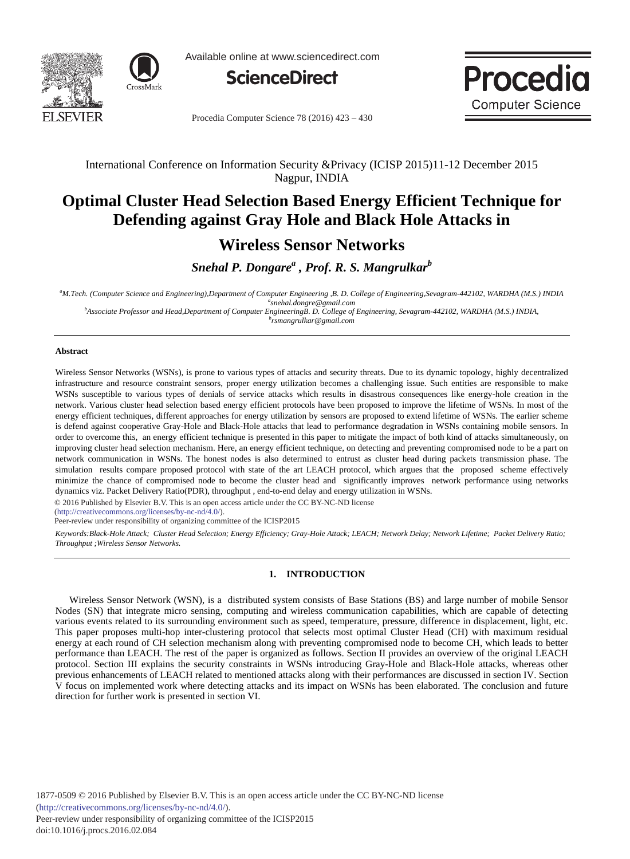



Available online at www.sciencedirect.com





Procedia Computer Science 78 (2016) 423 - 430

### International Conference on Information Security &Privacy (ICISP 2015)11-12 December 2015 Nagpur, INDIA

## **Optimal Cluster Head Selection Based Energy Efficient Technique for Defending against Gray Hole and Black Hole Attacks in**

## **Wireless Sensor Networks**

## *Snehal P. Dongare<sup>a</sup> , Prof. R. S. Mangrulkar<sup>b</sup>*

*a M.Tech. (Computer Science and Engineering),Department of Computer Engineering ,B. D. College of Engineering,Sevagram-442102, WARDHA (M.S.) INDIA a*

<sup>*s*</sup> *snehal.dongre@gmail.com b*<br> *Associate Professor and Head,Department of Computer Engineering B. D. College of Engineering, Sevagram-442102, WARDHA (M.S.) INDIA, because the space of the space of Engineering and th* 

#### *rsmangrulkar@gmail.com*

#### **Abstract**

Wireless Sensor Networks (WSNs), is prone to various types of attacks and security threats. Due to its dynamic topology, highly decentralized infrastructure and resource constraint sensors, proper energy utilization becomes a challenging issue. Such entities are responsible to make WSNs susceptible to various types of denials of service attacks which results in disastrous consequences like energy-hole creation in the network. Various cluster head selection based energy efficient protocols have been proposed to improve the lifetime of WSNs. In most of the energy efficient techniques, different approaches for energy utilization by sensors are proposed to extend lifetime of WSNs. The earlier scheme is defend against cooperative Gray-Hole and Black-Hole attacks that lead to performance degradation in WSNs containing mobile sensors. In order to overcome this, an energy efficient technique is presented in this paper to mitigate the impact of both kind of attacks simultaneously, on improving cluster head selection mechanism. Here, an energy efficient technique, on detecting and preventing compromised node to be a part on network communication in WSNs. The honest nodes is also determined to entrust as cluster head during packets transmission phase. The simulation results compare proposed protocol with state of the art LEACH protocol, which argues that the proposed scheme effectively minimize the chance of compromised node to become the cluster head and significantly improves network performance using networks dynamics viz. Packet Delivery Ratio(PDR), throughput , end-to-end delay and energy utilization in WSNs.

© 2016 Published by Elsevier B.V. This is an open access article under the CC BY-NC-ND license

(http://creativecommons.org/licenses/by-nc-nd/4.0/).

(http://creativecommons.org/licenses/by-nc-nd/4.0/).<br>Peer-review under responsibility of organizing committee of the ICISP2015

*Keywords:Black-Hole Attack; Cluster Head Selection; Energy Efficiency; Gray-Hole Attack; LEACH; Network Delay; Network Lifetime; Packet Delivery Ratio; Throughput ;Wireless Sensor Networks.*

#### **1. INTRODUCTION**

Wireless Sensor Network (WSN), is a distributed system consists of Base Stations (BS) and large number of mobile Sensor Nodes (SN) that integrate micro sensing, computing and wireless communication capabilities, which are capable of detecting various events related to its surrounding environment such as speed, temperature, pressure, difference in displacement, light, etc. This paper proposes multi-hop inter-clustering protocol that selects most optimal Cluster Head (CH) with maximum residual energy at each round of CH selection mechanism along with preventing compromised node to become CH, which leads to better performance than LEACH. The rest of the paper is organized as follows. Section II provides an overview of the original LEACH protocol. Section III explains the security constraints in WSNs introducing Gray-Hole and Black-Hole attacks, whereas other previous enhancements of LEACH related to mentioned attacks along with their performances are discussed in section IV. Section V focus on implemented work where detecting attacks and its impact on WSNs has been elaborated. The conclusion and future direction for further work is presented in section VI.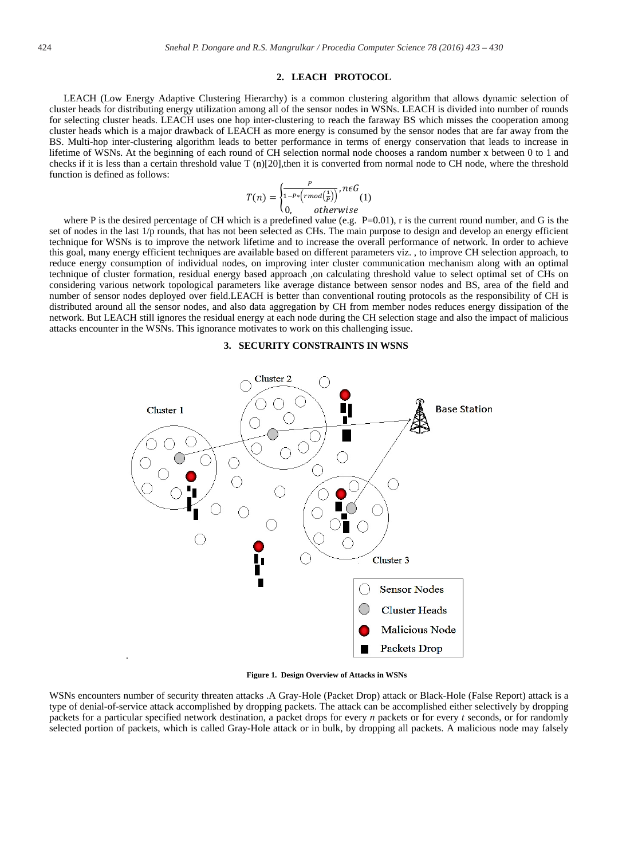#### **2. LEACH PROTOCOL**

LEACH (Low Energy Adaptive Clustering Hierarchy) is a common clustering algorithm that allows dynamic selection of cluster heads for distributing energy utilization among all of the sensor nodes in WSNs. LEACH is divided into number of rounds for selecting cluster heads. LEACH uses one hop inter-clustering to reach the faraway BS which misses the cooperation among cluster heads which is a major drawback of LEACH as more energy is consumed by the sensor nodes that are far away from the BS. Multi-hop inter-clustering algorithm leads to better performance in terms of energy conservation that leads to increase in lifetime of WSNs. At the beginning of each round of CH selection normal node chooses a random number x between 0 to 1 and checks if it is less than a certain threshold value T (n)[20],then it is converted from normal node to CH node, where the threshold function is defined as follows:

$$
T(n) = \begin{cases} \frac{P}{1 - P * (rmod(\frac{1}{P}))}, n \in G \\ 0, & otherwise \end{cases}
$$

W, otherwise<br>where P is the desired percentage of CH which is a predefined value (e.g. P=0.01), r is the current round number, and G is the set of nodes in the last 1/p rounds, that has not been selected as CHs. The main purpose to design and develop an energy efficient technique for WSNs is to improve the network lifetime and to increase the overall performance of network. In order to achieve this goal, many energy efficient techniques are available based on different parameters viz. , to improve CH selection approach, to reduce energy consumption of individual nodes, on improving inter cluster communication mechanism along with an optimal technique of cluster formation, residual energy based approach ,on calculating threshold value to select optimal set of CHs on considering various network topological parameters like average distance between sensor nodes and BS, area of the field and number of sensor nodes deployed over field.LEACH is better than conventional routing protocols as the responsibility of CH is distributed around all the sensor nodes, and also data aggregation by CH from member nodes reduces energy dissipation of the network. But LEACH still ignores the residual energy at each node during the CH selection stage and also the impact of malicious attacks encounter in the WSNs. This ignorance motivates to work on this challenging issue.

#### **3. SECURITY CONSTRAINTS IN WSNS**



**Figure 1. Design Overview of Attacks in WSNs** 

WSNs encounters number of security threaten attacks .A Gray-Hole (Packet Drop) attack or Black-Hole (False Report) attack is a type of denial-of-service attack accomplished by dropping packets. The attack can be accomplished either selectively by dropping packets for a particular specified network destination, a packet drops for every *n* packets or for every *t* seconds, or for randomly selected portion of packets, which is called Gray-Hole attack or in bulk, by dropping all packets. A malicious node may falsely